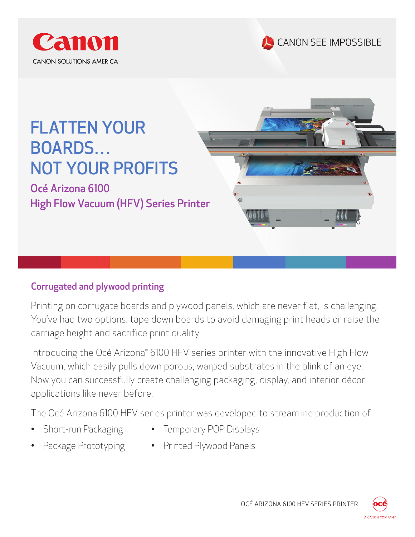





Océ Arizona 6100 High Flow Vacuum (HFV) Series Printer

### Corrugated and plywood printing

Printing on corrugate boards and plywood panels, which are never flat, is challenging. You've had two options: tape down boards to avoid damaging print heads or raise the carriage height and sacrifice print quality.

Introducing the Océ Arizona® 6100 HFV series printer with the innovative High Flow Vacuum, which easily pulls down porous, warped substrates in the blink of an eye. Now you can successfully create challenging packaging, display, and interior décor applications like never before.

The Océ Arizona 6100 HFV series printer was developed to streamline production of:

- Short-run Packaging
- Temporary POP Displays
- Package Prototyping
- Printed Plywood Panels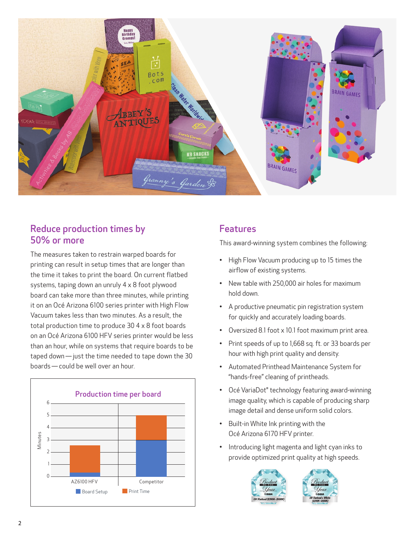

#### Reduce production times by 50% or more

The measures taken to restrain warped boards for printing can result in setup times that are longer than the time it takes to print the board. On current flatbed systems, taping down an unruly 4 x 8 foot plywood board can take more than three minutes, while printing it on an Océ Arizona 6100 series printer with High Flow Vacuum takes less than two minutes. As a result, the total production time to produce 30 4 x 8 foot boards on an Océ Arizona 6100 HFV series printer would be less than an hour, while on systems that require boards to be taped down — just the time needed to tape down the 30 boards — could be well over an hour.



#### Features

This award-winning system combines the following:

- High Flow Vacuum producing up to 15 times the airflow of existing systems.
- New table with 250,000 air holes for maximum hold down.
- A productive pneumatic pin registration system for quickly and accurately loading boards.
- Oversized 8.1 foot x 10.1 foot maximum print area.
- Print speeds of up to 1,668 sq. ft. or 33 boards per hour with high print quality and density.
- Automated Printhead Maintenance System for "hands-free" cleaning of printheads.
- Océ VariaDot® technology featuring award-winning image quality, which is capable of producing sharp image detail and dense uniform solid colors.
- Built-in White Ink printing with the Océ Arizona 6170 HFV printer.
- Introducing light magenta and light cyan inks to provide optimized print quality at high speeds.



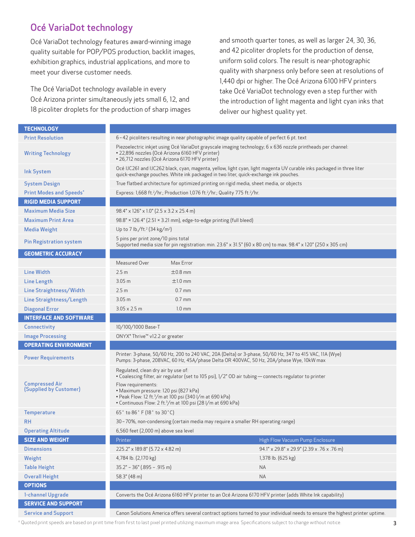## Océ VariaDot technology

Océ VariaDot technology features award-winning image quality suitable for POP/POS production, backlit images, exhibition graphics, industrial applications, and more to meet your diverse customer needs.

The Océ VariaDot technology available in every Océ Arizona printer simultaneously jets small 6, 12, and 18 picoliter droplets for the production of sharp images and smooth quarter tones, as well as larger 24, 30, 36, and 42 picoliter droplets for the production of dense, uniform solid colors. The result is near-photographic quality with sharpness only before seen at resolutions of 1,440 dpi or higher. The Océ Arizona 6100 HFV printers take Océ VariaDot technology even a step further with the introduction of light magenta and light cyan inks that deliver our highest quality yet.

| <b>TECHNOLOGY</b>                               |                                                                                                                                                                                                                    |
|-------------------------------------------------|--------------------------------------------------------------------------------------------------------------------------------------------------------------------------------------------------------------------|
| <b>Print Resolution</b>                         | 6-42 picoliters resulting in near photographic image quality capable of perfect 6 pt. text                                                                                                                         |
| <b>Writing Technology</b>                       | Piezoelectric inkjet using Océ VariaDot grayscale imaging technology; 6 x 636 nozzle printheads per channel:<br>· 22,896 nozzles (Océ Arizona 6160 HFV printer)<br>· 26,712 nozzles (Océ Arizona 6170 HFV printer) |
| <b>Ink System</b>                               | Océ IJC261 and IJC262 black, cyan, magenta, yellow, light cyan, light magenta UV curable inks packaged in three liter<br>quick-exchange pouches. White ink packaged in two liter, quick-exchange ink pouches.      |
| <b>System Design</b>                            | True flatbed architecture for optimized printing on rigid media, sheet media, or objects                                                                                                                           |
| <b>Print Modes and Speeds*</b>                  | Express: 1,668 ft. <sup>2</sup> /hr.; Production 1,076 ft. <sup>2</sup> /hr.; Quality 775 ft. <sup>2</sup> /hr.                                                                                                    |
| <b>RIGID MEDIA SUPPORT</b>                      |                                                                                                                                                                                                                    |
| <b>Maximum Media Size</b>                       | $98.4" \times 126" \times 1.0" (2.5 \times 3.2 \times 25.4 \text{ m})$                                                                                                                                             |
| <b>Maximum Print Area</b>                       | 98.8" × 126.4" (2.51 × 3.21 mm), edge-to-edge printing (full bleed)                                                                                                                                                |
| <b>Media Weight</b>                             | Up to 7 lb./ft. <sup>2</sup> (34 kg/m <sup>2</sup> )                                                                                                                                                               |
| <b>Pin Registration system</b>                  | 5 pins per print zone/10 pins total<br>Supported media size for pin registration: min. 23.6" x 31.5" (60 x 80 cm) to max. 98.4" x 120" (250 x 305 cm)                                                              |
| <b>GEOMETRIC ACCURACY</b>                       |                                                                                                                                                                                                                    |
|                                                 | Measured Over<br>Max Error                                                                                                                                                                                         |
| <b>Line Width</b>                               | 2.5 <sub>m</sub><br>$\pm 0.8$ mm                                                                                                                                                                                   |
| <b>Line Length</b>                              | 3.05 <sub>m</sub><br>$±1.0$ mm                                                                                                                                                                                     |
| Line Straightness/Width                         | 2.5 <sub>m</sub><br>$0.7$ mm                                                                                                                                                                                       |
| Line Straightness/Length                        | 3.05 <sub>m</sub><br>$0.7$ mm                                                                                                                                                                                      |
| <b>Diagonal Error</b>                           | $3.05 \times 2.5$ m<br>$1.0 \text{ mm}$                                                                                                                                                                            |
| <b>INTERFACE AND SOFTWARE</b>                   |                                                                                                                                                                                                                    |
| Connectivity                                    | 10/100/1000 Base-T                                                                                                                                                                                                 |
| <b>Image Processing</b>                         | ONYX® Thrive™ v12.2 or greater                                                                                                                                                                                     |
| <b>OPERATING ENVIRONMENT</b>                    |                                                                                                                                                                                                                    |
| <b>Power Requirements</b>                       | Printer: 3-phase, 50/60 Hz, 200 to 240 VAC, 20A (Delta) or 3-phase, 50/60 Hz, 347 to 415 VAC, 11A (Wye)<br>Pumps: 3-phase, 208VAC, 60 Hz, 45A/phase Delta OR 400VAC, 50 Hz, 20A/phase Wye, 10kW max                |
|                                                 | Regulated, clean dry air by use of:<br>• Coalescing filter, air regulator (set to 105 psi), 1/2" OD air tubing - connects regulator to printer                                                                     |
| <b>Compressed Air</b><br>(Supplied by Customer) | Flow requirements:<br>· Maximum pressure: 120 psi (827 kPa)<br>• Peak Flow: 12 ft. <sup>3</sup> /m at 100 psi (340 l/m at 690 kPa)<br>• Continuous Flow: 2 ft. <sup>3</sup> /m at 100 psi (28 l/m at 690 kPa)      |
| <b>Temperature</b>                              | 65° to 86° F (18° to 30°C)                                                                                                                                                                                         |
| <b>RH</b>                                       | 30 - 70%, non-condensing (certain media may require a smaller RH operating range)                                                                                                                                  |
| <b>Operating Altitude</b>                       | 6,560 feet (2,000 m) above sea level                                                                                                                                                                               |
| <b>SIZE AND WEIGHT</b>                          | High Flow Vacuum Pump Enclosure<br>Printer                                                                                                                                                                         |
| <b>Dimensions</b>                               | 225.2" x 189.8" (5.72 x 4.82 m)<br>94.1" x 29.8" x 29.9" (2.39 x .76 x .76 m)                                                                                                                                      |
| Weight                                          | 4,784 lb. (2,170 kg)<br>1,378 lb. (625 kg)                                                                                                                                                                         |
| <b>Table Height</b>                             | $35.2" - 36" (0.895 - 0.915)$<br><b>NA</b>                                                                                                                                                                         |
| <b>Overall Height</b>                           | 58.3" (48 m)<br><b>NA</b>                                                                                                                                                                                          |
| <b>OPTIONS</b>                                  |                                                                                                                                                                                                                    |
| 1-channel Upgrade                               | Converts the Océ Arizona 6160 HFV printer to an Océ Arizona 6170 HFV printer (adds White Ink capability)                                                                                                           |
| <b>SERVICE AND SUPPORT</b>                      |                                                                                                                                                                                                                    |
| <b>Service and Support</b>                      | Canon Solutions America offers several contract options turned to your individual needs to ensure the highest printer uptime.                                                                                      |

\* Quoted print speeds are based on print time from first to last pixel printed utilizing maximum image area. Specifications subject to change without notice.